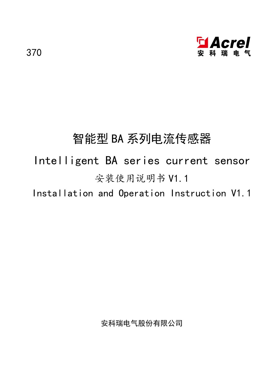

# 智能型 BA 系列电流传感器

# Intelligent BA series current sensor 安装使用说明书 V1.1

Installation and Operation Instruction V1.1

安科瑞电气股份有限公司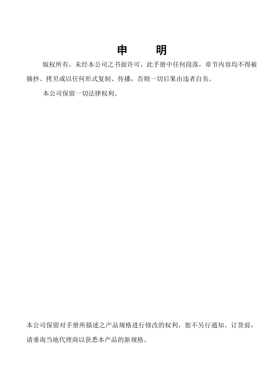# まんじょう しょうしゃ しゅうしゃ けいしん しゅうしょく しゅうしょく はんしゃ はんしゃ はんしゃ はんしゃ はんしゃ

版权所有,未经本公司之书面许可,此手册中任何段落,章节内容均不得被 摘抄、拷贝或以任何形式复制、传播,否则一切后果由违者自负。

本公司保留一切法律权利。

本公司保留对手册所描述之产品规格进行修改的权利,恕不另行通知。订货前, 请垂询当地代理商以获悉本产品的新规格。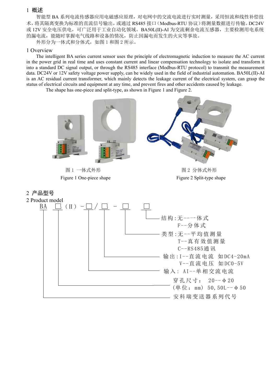#### <span id="page-3-0"></span>1 概述

智能型 BA 系列电流传感器应用电磁感应原理,对电网中的交流电流进行实时测量,采用恒流和线性补偿技 术,将其隔离变换为标准的直流信号输出,或通过 RS485 接口(Modbus-RTU 协议)将测量数据进行传输。DC24V 或 12V 安全电压供电,可广泛用于工业自动化领域。BA50L(Ⅱ)-AI 为交流剩余电流互感器,主要检测用电系统 的漏电流,能随时掌握电气线路和设备的情况,防止因漏电而发生的火灾等事故。

外形分为一体式和分体式,如图 1 和图 2 所示。

#### 1 Overview

The intelligent BA series current sensor uses the principle of electromagnetic induction to measure the AC current in the power grid in real time and uses constant current and linear compensation technology to isolate and transform it into a standard DC signal output, or through the RS485 interface (Modbus-RTU protocol) to transmit the measurement data. DC24V or 12V safety voltage power supply, can be widely used in the field of industrial automation. BA50L(Ⅱ)-AI is an AC residual current transformer, which mainly detects the leakage current of the electrical system, can grasp the status of electrical circuits and equipment at any time, and prevent fires and other accidents caused by leakage.<br>The shape has one-piece and split-type, as shown in Figure 1 and Figure 2.

<span id="page-3-1"></span>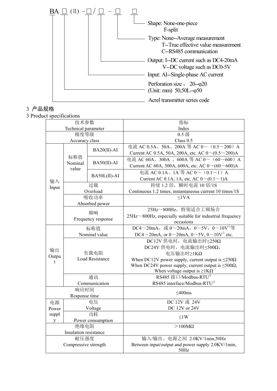

# <span id="page-4-0"></span>3 产品规格

3 Product specifications

|       | 技术参数                  |                   | 指标                                                             |  |  |  |
|-------|-----------------------|-------------------|----------------------------------------------------------------|--|--|--|
|       | Technical parameter   |                   | Index                                                          |  |  |  |
|       | 精度等级                  |                   | 0.5 级                                                          |  |  |  |
|       | Accuracy class        |                   | Class $0.5$                                                    |  |  |  |
|       |                       | $BA20(II)$ -AI    | 电流 AC 0.5A、50A、200A 等 AC 0~ (0.5~200) A                        |  |  |  |
|       |                       |                   | Current AC 0.5A, 50A, 200A, etc. AC $0 \sim (0.5 \sim 200)$ A  |  |  |  |
|       | 标称值                   | $BA50(II)$ -AI    | 电流 AC 60A、300A 、600A 等 AC 0~ (60~600) A                        |  |  |  |
|       | Nominal<br>value      |                   | Current AC 60A, 300A, 600A, etc. AC $0 \sim (60 \sim 600)$ A   |  |  |  |
|       |                       |                   | 电流 AC 0.1A、1A 等 AC 0 ~ $(0.1 \sim 1)$ A                        |  |  |  |
| 输入    |                       | BA50L(II)-AI      | Current AC 0.1A, 1A, etc. AC $0 \sim (0.1 \sim 1)$ A           |  |  |  |
| Input |                       | 过载                | 持续1.2 倍, 瞬时电流10 倍/1S                                           |  |  |  |
|       |                       | Overload          | Continuous 1.2 times, instantaneous current 10 times/1S        |  |  |  |
|       |                       | 吸收功率              | $\leq$ lVA                                                     |  |  |  |
|       |                       | Absorbed power    |                                                                |  |  |  |
|       |                       | 频响                | 25Hz~800Hz, 特别适合工频场合                                           |  |  |  |
|       | Frequency response    |                   | 25Hz~800Hz, especially suitable for industrial frequency       |  |  |  |
|       |                       |                   | occasions                                                      |  |  |  |
|       | 标称值                   |                   | DC4~20mA, 或 0~20mA, 0~5V, 0~10V <sup>①</sup> 等                 |  |  |  |
|       | Nominal value         |                   | DC4~20mA, or 0~20mA, 0~5V, 0~10V <sup>0</sup> etc.             |  |  |  |
|       |                       |                   | DC12V 供电时, 电流输出时 <250Ω                                         |  |  |  |
| 输出    |                       |                   | DC24V 供电时, 电流输出时 <500Ω,                                        |  |  |  |
| Outpu |                       | 负载电阻              | 电压输出时≥1KΩ                                                      |  |  |  |
| t     |                       | Load Resistance   | When DC12V power supply, current output is $\leq$ 250 $\Omega$ |  |  |  |
|       |                       |                   | When DC24V power supply, current output is $\leq 500\Omega$ ,  |  |  |  |
|       |                       |                   | When voltage output is $\geq$ 1K $\Omega$                      |  |  |  |
|       |                       | 通讯                | RS485 接口/Modbus-RTU <sup>2</sup>                               |  |  |  |
|       |                       | Communication     | RS485 interface/Modbus-RTU <sup>2</sup>                        |  |  |  |
|       | 响应时间                  |                   | $\leq 400$ ms                                                  |  |  |  |
|       | Response time         |                   |                                                                |  |  |  |
| 电源    |                       | 电压                | DC 12V 或 24V                                                   |  |  |  |
| Power |                       | Voltage           | DC 12V or 24V                                                  |  |  |  |
| suppl |                       | 功耗                | $\leq$ 1W                                                      |  |  |  |
| y     |                       | Power consumption |                                                                |  |  |  |
|       | 绝缘电阻                  |                   | $>100M\Omega$                                                  |  |  |  |
|       | Insulation resistance |                   |                                                                |  |  |  |
|       | 耐压强度                  |                   | 输入/输出、电源之间 2.0KV/1min,50Hz                                     |  |  |  |
|       | Compressive strength  |                   | Between input/output and power supply 2.0KV/1min,              |  |  |  |
|       |                       |                   | 50Hz                                                           |  |  |  |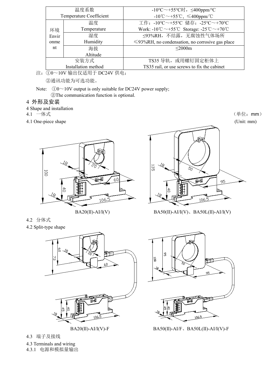|       | 温度系数                                                                                                                                                                                                                                                                                                                                                                                                                                  | -10°C $\sim$ +55°C时, $\leq$ 400ppm/°C                                                         |  |  |  |  |  |
|-------|---------------------------------------------------------------------------------------------------------------------------------------------------------------------------------------------------------------------------------------------------------------------------------------------------------------------------------------------------------------------------------------------------------------------------------------|-----------------------------------------------------------------------------------------------|--|--|--|--|--|
|       | Temperature Coefficient                                                                                                                                                                                                                                                                                                                                                                                                               | $-10^{\circ}$ C ~ $+55^{\circ}$ C, $\leq 400$ ppm/ $^{\circ}$ C                               |  |  |  |  |  |
|       | 温度                                                                                                                                                                                                                                                                                                                                                                                                                                    | 工作: -10℃~+55℃ 储存: -25℃~+70℃                                                                   |  |  |  |  |  |
| 环境    | Temperature                                                                                                                                                                                                                                                                                                                                                                                                                           | Work: -10 <sup>°</sup> C ~ +55 <sup>°</sup> C Storage: -25 <sup>°C</sup> ~ +70 <sup>°</sup> C |  |  |  |  |  |
| Envir | 湿度                                                                                                                                                                                                                                                                                                                                                                                                                                    | ≤93%RH, 不结露, 无腐蚀性气体场所                                                                         |  |  |  |  |  |
| onme  | Humidity                                                                                                                                                                                                                                                                                                                                                                                                                              | $\leq$ 93%RH, no condensation, no corrosive gas place                                         |  |  |  |  |  |
| nt    | 海拔                                                                                                                                                                                                                                                                                                                                                                                                                                    | $\leq$ 2000m                                                                                  |  |  |  |  |  |
|       | Altitude                                                                                                                                                                                                                                                                                                                                                                                                                              |                                                                                               |  |  |  |  |  |
|       | 安装方式                                                                                                                                                                                                                                                                                                                                                                                                                                  | TS35 导轨, 或用螺钉固定柜体上                                                                            |  |  |  |  |  |
|       | Installation method                                                                                                                                                                                                                                                                                                                                                                                                                   | TS35 rail, or use screws to fix the cabinet                                                   |  |  |  |  |  |
|       | $\bigcap_{\alpha}$ $\alpha$ $\rightarrow$ $\alpha$ $\rightarrow$ $\alpha$ $\uparrow$ $\uparrow$ $\uparrow$ $\uparrow$ $\uparrow$ $\uparrow$ $\uparrow$ $\uparrow$ $\rightarrow$ $\lceil$ $\alpha$ $\downarrow$ $\downarrow$ $\uparrow$ $\uparrow$ $\uparrow$ $\uparrow$ $\uparrow$ $\uparrow$ $\uparrow$ $\uparrow$ $\uparrow$ $\uparrow$ $\uparrow$ $\uparrow$ $\uparrow$ $\uparrow$ $\uparrow$ $\uparrow$ $\uparrow$ $\uparrow$ $\$ |                                                                                               |  |  |  |  |  |

注:①0~10V 输出仅适用于 DC24V 供电; ②通讯功能为可选功能。

Note:  $①0~10V$  output is only suitable for DC24V power supply; ②The communication function is optional.

### <span id="page-5-0"></span>4 外形及安装

4 Shape and installation<br>4.1  $-\nleftrightarrow \nexists$ 

<span id="page-5-1"></span>

4.1 One-piece shape (Unit: mm)





<span id="page-5-2"></span>4.2 分体式

4.2 Split-type shape



<span id="page-5-3"></span>4.3 端子及接线

4.3 Terminals and wiring

<span id="page-5-4"></span>4.3.1 电源和模拟量输出

4.1 一体式 (单位:mm)



 $BA20(II)-A1/I(V)$   $BA50(II)-A1/I(V)$ ,  $BA50L(II)-A1/I(V)$ 



BA20(II)-AI/I(V)-F BA50(II)-AI/F、BA50L(II)-AI/I(V)-F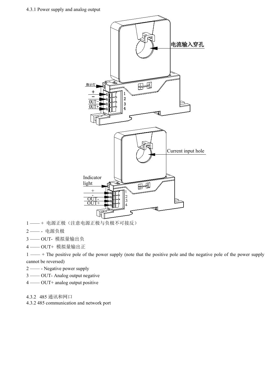

- 1 —— + 电源正极(注意电源正极与负极不可接反)
- 2 —— 电源负极
- 3 —— OUT- 模拟量输出负
- 4 —— OUT+ 模拟量输出正

1 —— + The positive pole of the power supply (note that the positive pole and the negative pole of the power supply cannot be reversed)

- 2 —— Negative power supply
- 3 —— OUT- Analog output negative
- 4 —— OUT+ analog output positive

<span id="page-6-0"></span>4.3.2 485 通讯和网口

4.3.2 485 communication and network port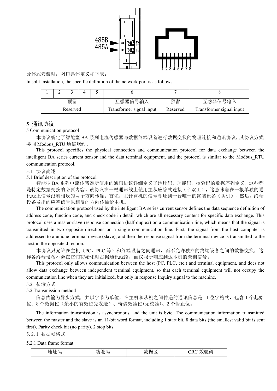

### 分体式安装时,网口具体定义如下表:

In split installation, the specific definition of the network port is as follows:

|                                      | - |          |                          |         |    |         |
|--------------------------------------|---|----------|--------------------------|---------|----|---------|
|                                      |   | 预留       |                          | 互感器信号输入 | 预留 | 互感器信号输入 |
| Fransformer signal input<br>Reserved |   | Reserved | Transformer signal input |         |    |         |

#### <span id="page-7-0"></span>5 通讯协议

#### 5 Communication protocol

本协议规定了智能型 BA 系列电流传感器与数据终端设备进行数据交换的物理连接和通讯协议,其协议方式 类同 Modbus\_RTU 通信规约。

This protocol specifies the physical connection and communication protocol for data exchange between the intelligent BA series current sensor and the data terminal equipment, and the protocol is similar to the Modbus\_RTU communication protocol.

#### <span id="page-7-1"></span>5.1 协议简述

5.1 Brief description of the protocol

智能型 BA 系列电流传感器所使用的通讯协议详细定义了地址码、功能码、校验码的数据序列定义,这些都 是特定数据交换的必要内容。该协议在一根通讯线上使用主从应答式连接(半双工),这意味着在一根单独的通 讯线上信号沿着相反的两个方向传输。首先,主计算机的信号寻址到一台唯一的终端设备(从机),然后,终端 设备发出的应答信号以相反的方向传输给主机。

The communication protocol used by the intelligent BA series current sensor defines the data sequence definition of address code, function code, and check code in detail, which are all necessary content for specific data exchange. This protocol uses a master-slave response connection (half-duplex) on a communication line, which means that the signal is transmitted in two opposite directions on a single communication line. First, the signal from the host computer is addressed to a unique terminal device (slave), and then the response signal from the terminal device istransmitted to the host in the opposite direction.

本协议只允许在主机(PC, PLC 等)和终端设备之间通讯,而不允许独立的终端设备之间的数据交换,这 样各终端设备不会在它们初始化时占据通讯线路,而仅限于响应到达本机的查询信号。

This protocol only allows communication between the host (PC, PLC, etc.) and terminal equipment, and does not allow data exchange between independent terminal equipment, so that each terminal equipment will not occupy the communication line when they are initialized, but only in response Inquiry signal to the machine.

<span id="page-7-2"></span>5.2 传输方式

5.2 Transmission method

信息传输为异步方式,并以字节为单位,在主机和从机之间传递的通讯信息是 11 位字格式,包含 1 个起始 位、8个数据位(最小的有效位先发送)、奇偶效验位(无校验)、2个停止位。

The information transmission is asynchronous, and the unit is byte. The communication information transmitted between the master and the slave is an 11-bit word format, including 1 start bit, 8 data bits (the smallest valid bit is sent first), Parity check bit (no parity), 2 stop bits.

5.2.1 数据帧格式

5.2.1 Data frame format

| $2.14 - 22.7$<br>数据区<br>地址码<br><b>CRC</b><br>功能码<br>效验码 |
|---------------------------------------------------------|
|---------------------------------------------------------|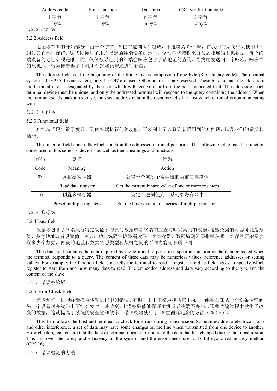| Address code | Function code | Data area | verification code<br>CRC |
|--------------|---------------|-----------|--------------------------|
| 字节           | 字节            | 亭世<br>$-$ | 享节<br>- 14               |
| byte         | byte          | n byte    | 2 byte                   |

5.2.2 地址域

#### 5.2.2 Address field

地址域在帧的开始部分,由一个字节(8位二进制码)组成,十进制为 0~255, 在我们的系统中只使用 1~ 247,其它地址保留。这些位标明了用户指定的终端设备的地址,该设备将接收来自与之相连的主机数据。每个终 端设备的地址必须是唯一的,仅仅被寻址到的终端会响应包含了该地址的查询。当终端发送回一个响应,响应中 的从机地址数据便告诉了主机哪台终端正与之进行通信。

The address field is at the beginning of the frame and is composed of one byte (8-bit binary code). The decimal system is  $0 \sim 255$ . In our system, only  $1 \sim 247$  are used. Other addresses are reserved. These bits indicate the address of the terminal device designated by the user, which will receive data from the host connected to it. The address of each terminal device must be unique, and only the addressed terminal will respond to the query containing the address. When the terminal sends back a response, the slave address data in the response tells the host which terminal is communicating with it.

#### 5.2.3 功能域

#### 5.2.3 Functional field

功能域代码告诉了被寻址到的终端执行何种功能。下表列出了该系列装置用到的功能码,以及它们的意义和 功能。

The function field code tells which function the addressed terminal performs. The following table lists the function codes used in this series of devices, as well as their meanings and functions.

| 代码   | 意义                 | 行为                                                    |
|------|--------------------|-------------------------------------------------------|
| Code | Meaning            | Action                                                |
| 03   | 读数据寄存器             | 获得一个或多个寄存器的当前二进制值                                     |
|      |                    |                                                       |
|      | Read data register | Get the current binary value of one or more registers |
| 16   | 预置多寄存器             | 设定二进制值到一系列多寄存器中                                       |

#### 5.2.4 数据域

#### 5.2.4 Data field

数据域包含了终端执行特定功能所需要的数据或者终端响应查询时采集到的数据。这些数据的内容可能是数 值、参考地址或者设置值。例如:功能域码告诉终端读取一个寄存器,数据域则需要指明从哪个寄存器开始及读 取多少个数据,内嵌的地址和数据依照类型和从机之间的不同内容而有所不同。

The data field contains the data required by the terminal to perform a specific function or the data collected when the terminal responds to a query. The content of these data may be numerical values, reference addresses or setting values. For example: the function field code tells the terminal to read a register, the data field needs to specify which register to start from and how many data to read. The embedded address and data vary according to the type and the content of the slave.

#### 5.2.5 错误校验域

#### 5.2.5 Error Check Field

该域允许主机和终端检查传输过程中的错误。有时,由于电噪声和其它干扰,一组数据在从一个设备传输到 另一个设备时在线路上可能会发生一些改变,出错校验能够保证主机或者终端不去响应那些传输过程中发生了改 变的数据,这就提高了系统的安全性和效率,错误校验使用了16 位循环冗余的方法(CRC16)。

This field allows the host and terminal to check for errors during transmission. Sometimes, due to electrical noise and other interference, a set of data may have some changes on the line when transmitted from one device to another. Error checking can ensure that the host or terminal does not respond to the data that has changed during the transmission. This improves the safety and efficiency of the system, and the error check uses a 16-bit cyclic redundancy method (CRC16).

5.2.6 错误检测的方法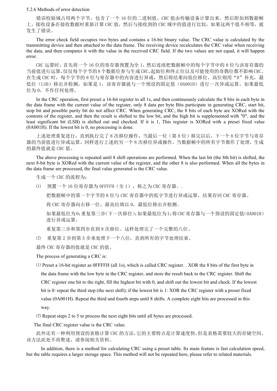#### 5.2.6 Methods of error detection

错误校验域占用两个字节,包含了一个 16 位的二进制值。CRC 值由传输设备计算出来,然后附加到数据帧 上,接收设备在接收数据时重新计算 CRC 值,然后与接收到的 CRC 域中的值进行比较,如果这两个值不相等,就 发生了错误。

The error check field occupies two bytes and contains a 16-bit binary value. The CRC value iscalculated by the transmitting device and then attached to the data frame. The receiving device recalculates the CRC value when receiving the data, and then compares it with the value in the received CRC field.If the two values are not equal, it will happen error.

CRC 运算时,首先将一个 16 位的寄存器预置为全 1,然后连续把数据帧中的每个字节中的 8 位与该寄存器的 当前值进行运算,仅仅每个字节的8个数据位参与生成CRC,起始位和终止位以及可能使用的奇偶位都不影响CRC。 在生成 CRC 时,每个字节的 8 位与寄存器中的内容进行异或,然后将结果向低位移位,高位则用"0"补充,最 低位(LSB)移出并检测,如果是 1,该寄存器就与一个预设的固定值(0A001H)进行一次异或运算,如果最低 位为 0, 不作任何处理。

In the CRC operation, first preset a 16-bit register to all 1s, and then continuously calculate the 8 bits in each byte in the data frame with the current value of the register, only 8 data per byte Bits participate in generating CRC, start bit, stop bit and possible parity bit do not affect CRC. When generating CRC, the 8 bits of each byte are XORed with the contents of the register, and then the result is shifted to the low bit, and the high bit is supplemented with "0", and the least significant bit (LSB) is shifted out and checked. If it is 1, This register is XORed with a preset fixed value (0A001H). If the lowest bit is 0, no processing is done.

上述处理重复进行,直到执行完了 8 次移位操作,当最后一位(第 8 位)移完以后,下一个 8 位字节与寄存 器的当前值进行异或运算,同样进行上述的另一个 8 次移位异或操作,当数据帧中的所有字节都作了处理,生成 的最终值就是 CRC 值。

The above processing is repeated until 8 shift operations are performed. When the last bit (the 8th bit) is shifted, the next 8-bit byte is XORed with the current value of the register, and the other 8 is also performed. When all the bytes in the data frame are processed, the final value generated is the CRC value.

生成一个 CRC 的流程为:

⑴ 预置一个 16 位寄存器为 0FFFFH(全 1),称之为 CRC 寄存器。.

把数据帧中的第一个字节的 8 位与 CRC 寄存器中的低字节进行异或运算, 结果存回 CRC 寄存器。

将 CRC 寄存器向右移一位, 最高位填以 0, 最低位移出并检测。

如果最低位为0:重复第三步(下一次移位);如果最低位为1:将CRC寄存器与一个预设的固定值(0A001H) 进行异或运算。

重复第三步和第四步直到 8 次移位。这样处理完了一个完整的八位。

⑵ 重复第 2 步到第 5 步来处理下一个八位,直到所有的字节处理结束。

最终 CRC 寄存器的值就是 CRC 的值。

The process of generating a CRC is:

⑴ Preset a 16-bit register as 0FFFFH (all 1s), which is called CRC register. . XOR the 8 bits ofthe first byte in the data frame with the low byte in the CRC register, and store the result back to the CRC register. Shift the CRC register one bit to the right, fill the highest bit with 0, and shift out the lowest bit and check. If the lowest bit is 0: repeat the third step (the next shift); if the lowest bit is 1: XOR the CRC register with a preset fixed value (0A001H). Repeat the third and fourth steps until8 shifts. A complete eight bits are processed in this way.

⑵ Repeat steps 2 to 5 to process the next eight bits until all bytes are processed.

The final CRC register value is the CRC value.

此外还有一种利用预设的表格计算 CRC 的方法,它的主要特点是计算速度快,但是表格需要较大的存储空间, 该方法此处不再赘述,请参阅相关资料。

In addition, there is a method for calculating CRC using a preset table. Its main feature is fast calculation speed, but the table requires a larger storage space. This method will not be repeated here, please refer to related materials.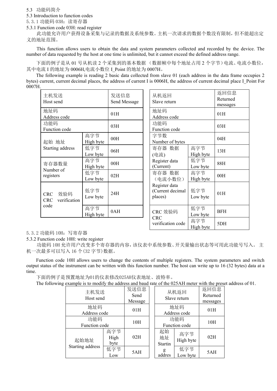<span id="page-10-0"></span>5.3 功能码简介

5.3 Introduction to function codes

5.3.1 功能码 03H:读寄存器

5.3.1 Function code 03H: read register

此功能允许用户获得设备采集与记录的数据及系统参数。主机一次请求的数据个数没有限制,但不能超出定 义的地址范围。

This function allows users to obtain the data and system parameters collected and recorded by the device. The number of data requested by the host at one time is unlimited, but it cannot exceed the defined address range.

下面的例子是从 01 号从机读 2 个采集到的基本数据 (数据帧中每个地址占用 2 个字节)电流、电流小数位, 其中电流 I 的地址为 0006H,电流小数位 I Point 的地址为 0007H。

The following example is reading 2 basic data collected from slave 01 (each address in the data frame occupies 2 bytes) current, current decimal places, the address of current I is  $0006H$ , the address of current decimal place I Point For 0007H.

| 主机发送<br>Host send                               |                  | 发送信息<br>Send Message | 从机返回<br>Slave return                         |
|-------------------------------------------------|------------------|----------------------|----------------------------------------------|
| 地址码<br>Address code                             |                  | 01H                  | 地址码<br>Address code                          |
| 功能码<br>Function code                            |                  | 03H                  | 功能码<br>Function code                         |
| 起始 地址                                           | 高字节<br>High byte | 00H                  | 字节数<br>Number of bytes                       |
| Starting address                                | 低字节<br>Low byte  | 06H                  | 寄存器 数据<br>(电流)                               |
| 寄存器数量                                           | 高字节<br>High byte | 00H                  | Register data<br>(Current)                   |
| Number of<br>registers                          | 低字节<br>Low byte  | 02H                  | 寄存器 数据<br>(电流小数位)                            |
| 效验码<br><b>CRC</b><br>verification<br><b>CRC</b> | 低字节<br>Low byte  | 24H                  | Register data<br>(Current decimal<br>places) |
| code                                            | 高字节<br>High byte | 0AH                  | CRC 效验码<br>CPC                               |

| 发送信息<br>Send Message | 从机返回<br>Slave return                         |                  | 返回信息<br>Returned<br>messages |  |
|----------------------|----------------------------------------------|------------------|------------------------------|--|
| 01H                  | 地址码<br>Address code                          |                  | 01H                          |  |
| 03H                  | 功能码<br>Function code                         |                  | 03H                          |  |
| 00H                  | 字节数<br>Number of bytes                       |                  | 04H                          |  |
| 06H                  | 寄存器 数据<br>(电流)                               | 高字节<br>High byte | 13H                          |  |
| 00H                  | Register data<br>(Current)                   | 低字节<br>Low byte  | 88H                          |  |
| 02H                  | 寄存器 数据<br>(电流小数位)                            | 高字节<br>High byte | 00H                          |  |
| 24H                  | Register data<br>(Current decimal<br>places) | 低字节<br>Low byte  | 01H                          |  |
| 0AH                  | CRC 效验码<br><b>CRC</b>                        | 低字节<br>Low byte  | <b>BFH</b>                   |  |
|                      | verification code                            | 高字节<br>High byte | 5DH                          |  |

5.3.2 功能码 10H:写寄存器

5.3.2 Function code 10H: write register

功能码 10H 允许用户改变多个寄存器的内容,该仪表中系统参数、开关量输出状态等可用此功能号写入。 主 机一次最多可以写入 16 个(32 字节)数据。

Function code 10H allows users to change the contents of multiple registers. The system parameters and switch output status of the instrument can be written with this function number. The host can write up to 16 (32 bytes) data at a time.

下面的例子是预置地址为01的仪表修改025AH仪表地址、波特率。

The following example is to modify the address and baud rate of the 025AH meter with the preset address of 01.

| ╯ |                   |      |              |         |                      |           |                  |
|---|-------------------|------|--------------|---------|----------------------|-----------|------------------|
|   | 主机发送<br>Host send |      | 发送信息<br>Send |         | 从机返回<br>Slave return |           | 返回信息<br>Returned |
|   |                   |      | Message      |         |                      |           | messages         |
|   | 地址码               |      | 01H          |         | 地址码<br>Address code  |           | 01H              |
|   | Address code      |      |              |         |                      |           |                  |
|   | 功能码               |      | 10H          |         | 功能码                  |           | 10H              |
|   | Function code     |      |              |         | Function code        |           |                  |
|   |                   | 高字节  |              | 起始      | 高字节                  |           |                  |
|   | 起始地址              | High | 02H          |         | 地址                   | High byte | 02H              |
|   |                   | byte |              | Startin |                      |           |                  |
|   | Starting address  | 低字节  | 5AH          |         | g                    | 低字节       | 5AH              |
|   |                   | Low  |              |         | addres               | Low byte  |                  |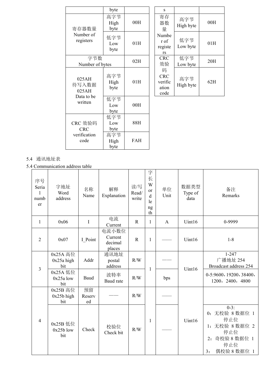|                         | byte                |            | S                                           |                  |     |
|-------------------------|---------------------|------------|---------------------------------------------|------------------|-----|
| 寄存器数量                   | 高字节<br>High<br>byte | 00H        | 寄存<br>器数<br>量                               | 高字节<br>High byte | 00H |
| Number of<br>registers  | 低字节<br>Low<br>byte  | 01H        | Numbe<br>r of<br>registe<br>rs              | 低字节<br>Low byte  | 01H |
| 字节数<br>Number of bytes  |                     | 02H        | <b>CRC</b><br>效验                            | 低字节<br>Low byte  | 20H |
| 025AH<br>待写入数据<br>025AH | 高字节<br>High<br>byte | 01H        | 码<br><b>CRC</b><br>verific<br>ation<br>code | 高字节<br>High byte | 62H |
| Data to be<br>written   | 低字节<br>Low<br>byte  | 00H        |                                             |                  |     |
| CRC 效验码<br><b>CRC</b>   | 低字节<br>Low<br>byte  | 88H        |                                             |                  |     |
| verification<br>code    | 高字节<br>High         | <b>FAH</b> |                                             |                  |     |

byte and the set of the set of the set of the set of the set of the set of the set of the set of the set of the

## <span id="page-11-0"></span>5.4 通讯地址表

5.4 Communication address table

| 序号<br>Seria<br>numb<br>er | 字地址<br>Word<br>address          | 名称<br>Name         | 解释<br>Explanation                     | 读/写<br>Read/<br>write | 字<br>长<br>W<br><b>or</b><br>$\rm d$<br>le<br>$\rm ng$<br>th | 单位<br>Unit   | 数据类型<br>Type of<br>data | 备注<br>Remarks                                                                                          |
|---------------------------|---------------------------------|--------------------|---------------------------------------|-----------------------|-------------------------------------------------------------|--------------|-------------------------|--------------------------------------------------------------------------------------------------------|
| $\mathbf{1}$              | 0x06                            | $\mathbf I$        | 电流<br>Current                         | $\mathbf R$           | $\mathbf{1}$                                                | $\mathbf{A}$ | Uint16                  | 0-9999                                                                                                 |
| $\overline{2}$            | 0x07                            | I Point            | 电流小数位<br>Current<br>decimal<br>places | $\mathbf R$           | $\mathbf{1}$                                                |              | Uint16                  | $1-8$                                                                                                  |
| 3                         | 0x25A 高位<br>$0x25a$ high<br>bit | Addr               | 通讯地址<br>postal<br>address             | R/W                   |                                                             |              | Uint16                  | $1 - 247$<br>广播地址 254<br>Broadcast address 254                                                         |
|                           | 0x25A 低位<br>$0x25a$ low<br>bit  | Baud               | 波特率<br>Baud rate                      | R/W                   | $\mathbf{1}$                                                | bps          |                         | 0-5:9600, 19200, 38400,<br>1200, 2400, 4800                                                            |
|                           | 0x25B 高位<br>$0x25b$ high<br>bit | 预留<br>Reserv<br>ed |                                       | R/W                   |                                                             |              |                         |                                                                                                        |
| $\overline{4}$            | 0x25B 低位<br>$0x25b$ low<br>bit  | Check              | 校验位<br>Check bit                      | R/W                   | -1                                                          |              | Uint16                  | $0-3:$<br>0: 无校验 8 数据位 1<br>停止位<br>1: 无校验 8 数据位 2<br>停止位<br>2: 奇校验 8 数据位 1<br>停止位<br>偶校验 8 数据位 1<br>3: |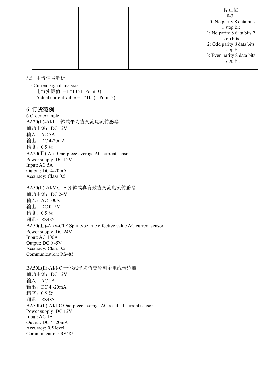|  |  |  |  | 停止位                        |  |
|--|--|--|--|----------------------------|--|
|  |  |  |  | $0-3:$                     |  |
|  |  |  |  | 0: No parity 8 data bits   |  |
|  |  |  |  | 1 stop bit                 |  |
|  |  |  |  | 1: No parity 8 data bits 2 |  |
|  |  |  |  | stop bits                  |  |
|  |  |  |  | 2: Odd parity 8 data bits  |  |
|  |  |  |  | 1 stop bit                 |  |
|  |  |  |  | 3: Even parity 8 data bits |  |
|  |  |  |  | 1 stop bit                 |  |
|  |  |  |  |                            |  |

<span id="page-12-0"></span>5.5 电流信号解析

5.5 Current signal analysis 电流实际值 = I \*10^(I\_Point-3) Actual current value =  $I * 10^(I\_Point-3)$ 

<span id="page-12-1"></span>6 订货范例

6 Order example BA20(Ⅱ)-AI/I 一体式平均值交流电流传感器 辅助电源:DC 12V 输入:  $AC 5A$ 输出:DC 4-20mA 精度:0.5 级 BA20(Ⅱ)-AI/I One-piece average AC current sensor Power supply: DC 12V Input: AC 5A Output: DC 4-20mA Accuracy: Class 0.5

BA50(Ⅱ)-AI/V-CTF 分体式真有效值交流电流传感器 辅助电源:DC 24V 输入:  $AC 100A$ 输出: DC 0 -5V 精度:0.5 级 通讯: RS485 BA50(Ⅱ)-AI/V-CTF Split type true effective value AC current sensor Power supply: DC 24V Input: AC 100A Output: DC 0 -5V Accuracy: Class 0.5 Communication: RS485

BA50L(Ⅱ)-AI/I-C 一体式平均值交流剩余电流传感器 辅助电源:DC 12V 输入:  $AC 1A$ 输出:DC 4 -20mA 精度:0.5 级 通讯: RS485 BA50L(Ⅱ)-AI/I-C One-piece average AC residual current sensor Power supply: DC 12V Input: AC 1A Output: DC 4 -20mA Accuracy: 0.5 level Communication: RS485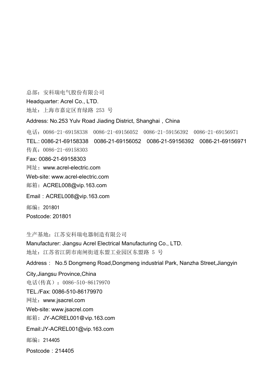总部:安科瑞电气股份有限公司

Headquarter: Acrel Co., LTD.

地址:上海市嘉定区育绿路 253 号

Address: No.253 Yulv Road Jiading District, Shanghai, China

电话: 0086-21-69158338 0086-21-69156052 0086-21-59156392 0086-21-69156971 TEL.: 0086-21-69158338 0086-21-69156052 0086-21-59156392 0086-21-69156971 传真:0086-21-69158303 Fax: 0086-21-69158303 网址:www.acrel-electric.com Web-site: www.acrel-electric.com 邮箱:ACREL008@vip.163.com Email:ACREL008@vip.163.com 邮编:201801 Postcode: 201801

生产基地:江苏安科瑞电器制造有限公司

Manufacturer: Jiangsu Acrel Electrical Manufacturing Co., LTD. 地址:江苏省江阴市南闸街道东盟工业园区东盟路 5 号

Address: No.5 Dongmeng Road,Dongmeng industrial Park, Nanzha Street,Jiangyin

City,Jiangsu Province,China 电话(传真):0086-510-86179970 TEL./Fax: 0086-510-86179970 网址:[www.jsacrel.com](http://www.jsacrel.com) Web-site: www.jsacrel.com 邮箱:JY-ACREL001@vip.163.com Email:JY-ACREL001@vip.163.com 邮编: 214405 Postcode: 214405